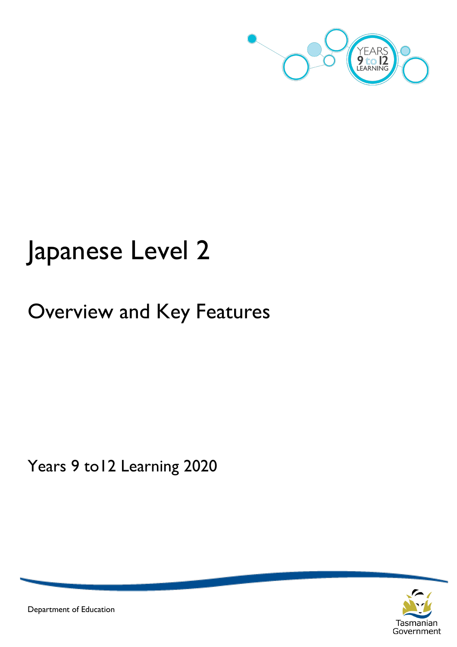

# Japanese Level 2

# Overview and Key Features

Years 9 to12 Learning 2020



Department of Education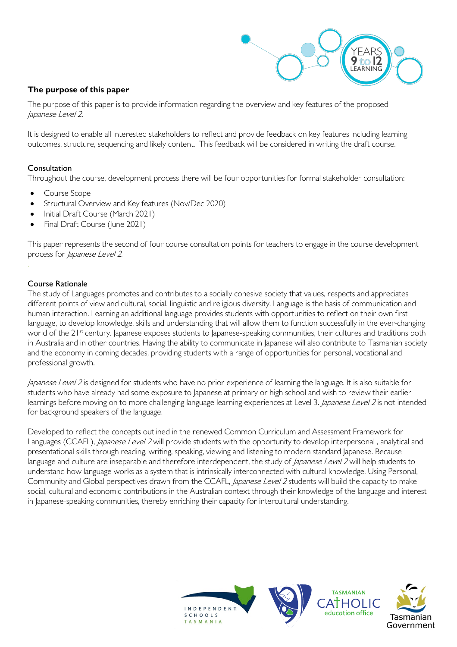

### **The purpose of this paper**

The purpose of this paper is to provide information regarding the overview and key features of the proposed Japanese Level 2.

It is designed to enable all interested stakeholders to reflect and provide feedback on key features including learning outcomes, structure, sequencing and likely content. This feedback will be considered in writing the draft course.

#### Consultation

Throughout the course, development process there will be four opportunities for formal stakeholder consultation:

- Course Scope
- Structural Overview and Key features (Nov/Dec 2020)
- Initial Draft Course (March 2021)
- Final Draft Course (June 2021)

This paper represents the second of four course consultation points for teachers to engage in the course development process for Japanese Level 2.

#### Course Rationale

The study of Languages promotes and contributes to a socially cohesive society that values, respects and appreciates different points of view and cultural, social, linguistic and religious diversity. Language is the basis of communication and human interaction. Learning an additional language provides students with opportunities to reflect on their own first language, to develop knowledge, skills and understanding that will allow them to function successfully in the ever-changing world of the 21<sup>st</sup> century. Japanese exposes students to Japanese-speaking communities, their cultures and traditions both in Australia and in other countries. Having the ability to communicate in Japanese will also contribute to Tasmanian society and the economy in coming decades, providing students with a range of opportunities for personal, vocational and professional growth.

Japanese Level 2 is designed for students who have no prior experience of learning the language. It is also suitable for students who have already had some exposure to Japanese at primary or high school and wish to review their earlier learnings before moving on to more challenging language learning experiences at Level 3. Japanese Level 2 is not intended for background speakers of the language.

Developed to reflect the concepts outlined in the renewed Common Curriculum and Assessment Framework for Languages (CCAFL), *Japanese Level 2* will provide students with the opportunity to develop interpersonal, analytical and presentational skills through reading, writing, speaking, viewing and listening to modern standard Japanese. Because language and culture are inseparable and therefore interdependent, the study of *Japanese Level 2* will help students to understand how language works as a system that is intrinsically interconnected with cultural knowledge. Using Personal, Community and Global perspectives drawn from the CCAFL, Japanese Level 2 students will build the capacity to make social, cultural and economic contributions in the Australian context through their knowledge of the language and interest in Japanese-speaking communities, thereby enriching their capacity for intercultural understanding.

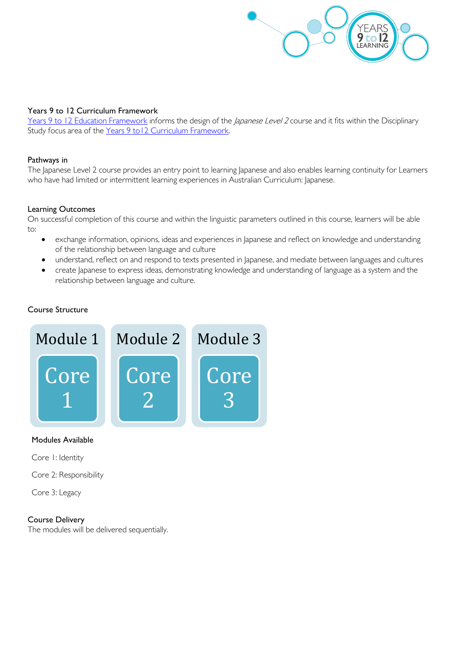

#### Years 9 to 12 Curriculum Framework

[Years 9 to 12 Education Framework](https://publicdocumentcentre.education.tas.gov.au/library/Shared%20Documents/Years-9-to-12-Education-Framework.pdf) informs the design of the Japanese Level 2 course and it fits within the Disciplinary Study focus area of the Years 9 to 12 Curriculum Framework.

#### Pathways in

The Japanese Level 2 course provides an entry point to learning Japanese and also enables learning continuity for Learners who have had limited or intermittent learning experiences in Australian Curriculum: Japanese.

#### Learning Outcomes

On successful completion of this course and within the linguistic parameters outlined in this course, learners will be able to:

- exchange information, opinions, ideas and experiences in Japanese and reflect on knowledge and understanding of the relationship between language and culture
- understand, reflect on and respond to texts presented in Japanese, and mediate between languages and cultures
- create Japanese to express ideas, demonstrating knowledge and understanding of language as a system and the relationship between language and culture.

#### Course Structure



#### Modules Available

Core 1: Identity

Core 2: Responsibility

Core 3: Legacy

#### Course Delivery

The modules will be delivered sequentially.